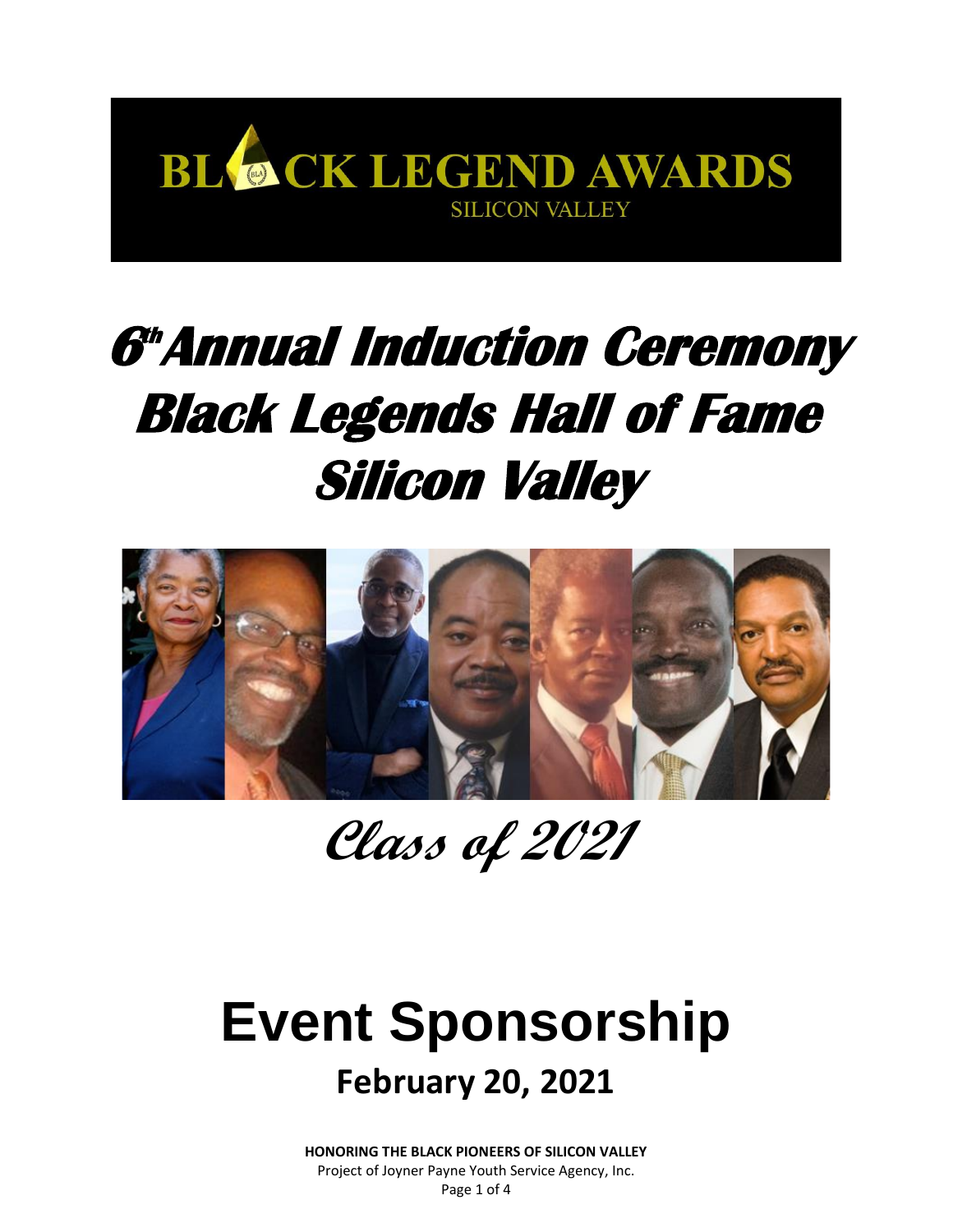

# **6 th Annual Induction Ceremony Black Legends Hall of Fame Silicon Valley**



**Class of 2021**

## **Event Sponsorship February 20, 2021**

**HONORING THE BLACK PIONEERS OF SILICON VALLEY** Project of Joyner Payne Youth Service Agency, Inc. Page 1 of 4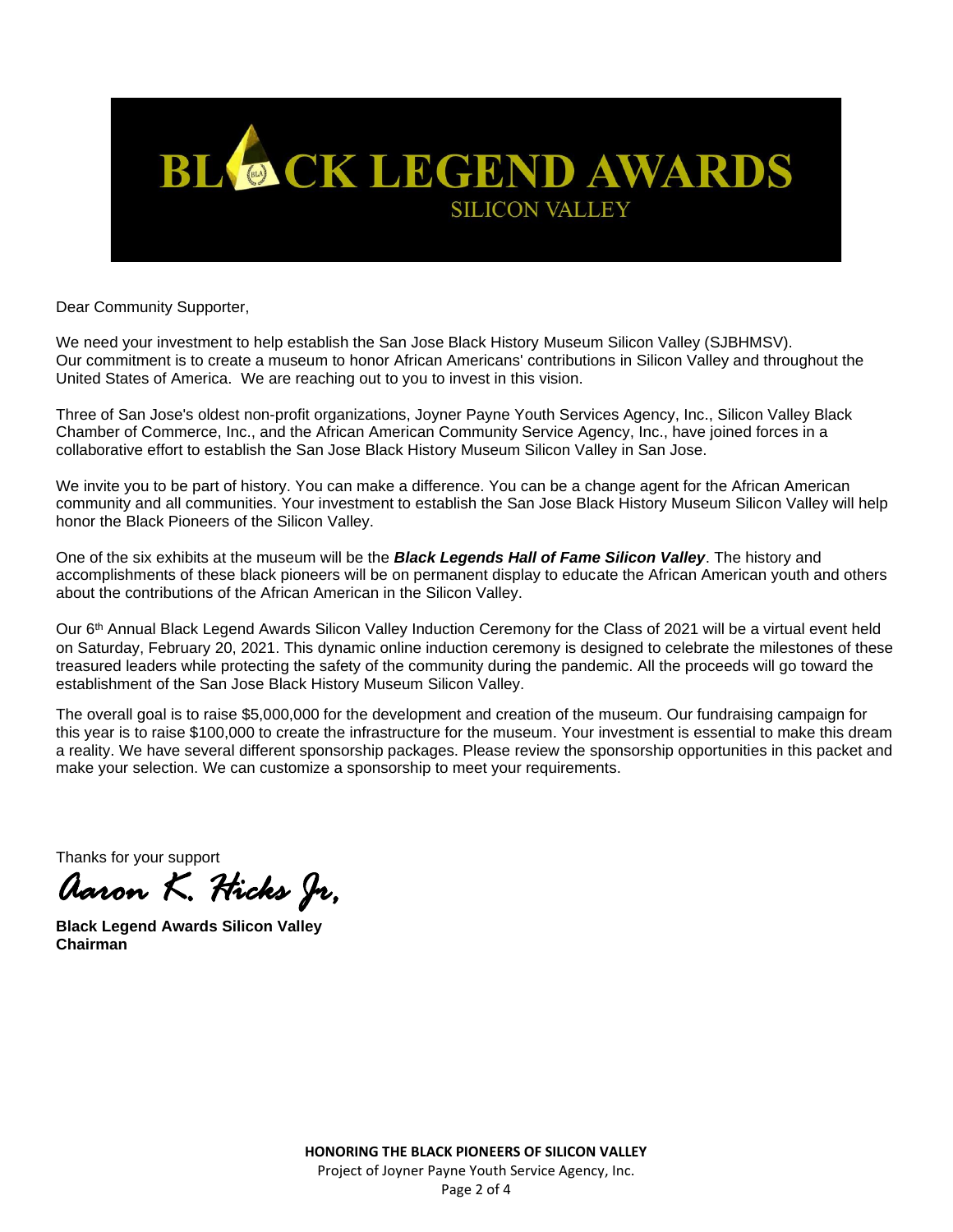

Dear Community Supporter,

We need your investment to help establish the San Jose Black History Museum Silicon Valley (SJBHMSV). Our commitment is to create a museum to honor African Americans' contributions in Silicon Valley and throughout the United States of America. We are reaching out to you to invest in this vision.

Three of San Jose's oldest non-profit organizations, Joyner Payne Youth Services Agency, Inc., Silicon Valley Black Chamber of Commerce, Inc., and the African American Community Service Agency, Inc., have joined forces in a collaborative effort to establish the San Jose Black History Museum Silicon Valley in San Jose.

We invite you to be part of history. You can make a difference. You can be a change agent for the African American community and all communities. Your investment to establish the San Jose Black History Museum Silicon Valley will help honor the Black Pioneers of the Silicon Valley.

One of the six exhibits at the museum will be the *Black Legends Hall of Fame Silicon Valley*. The history and accomplishments of these black pioneers will be on permanent display to educate the African American youth and others about the contributions of the African American in the Silicon Valley.

Our 6<sup>th</sup> Annual Black Legend Awards Silicon Valley Induction Ceremony for the Class of 2021 will be a virtual event held on Saturday, February 20, 2021. This dynamic online induction ceremony is designed to celebrate the milestones of these treasured leaders while protecting the safety of the community during the pandemic. All the proceeds will go toward the establishment of the San Jose Black History Museum Silicon Valley.

The overall goal is to raise \$5,000,000 for the development and creation of the museum. Our fundraising campaign for this year is to raise \$100,000 to create the infrastructure for the museum. Your investment is essential to make this dream a reality. We have several different sponsorship packages. Please review the sponsorship opportunities in this packet and make your selection. We can customize a sponsorship to meet your requirements.

Thanks for your support

*Aaron K. Hicks Jr,* 

**Black Legend Awards Silicon Valley Chairman**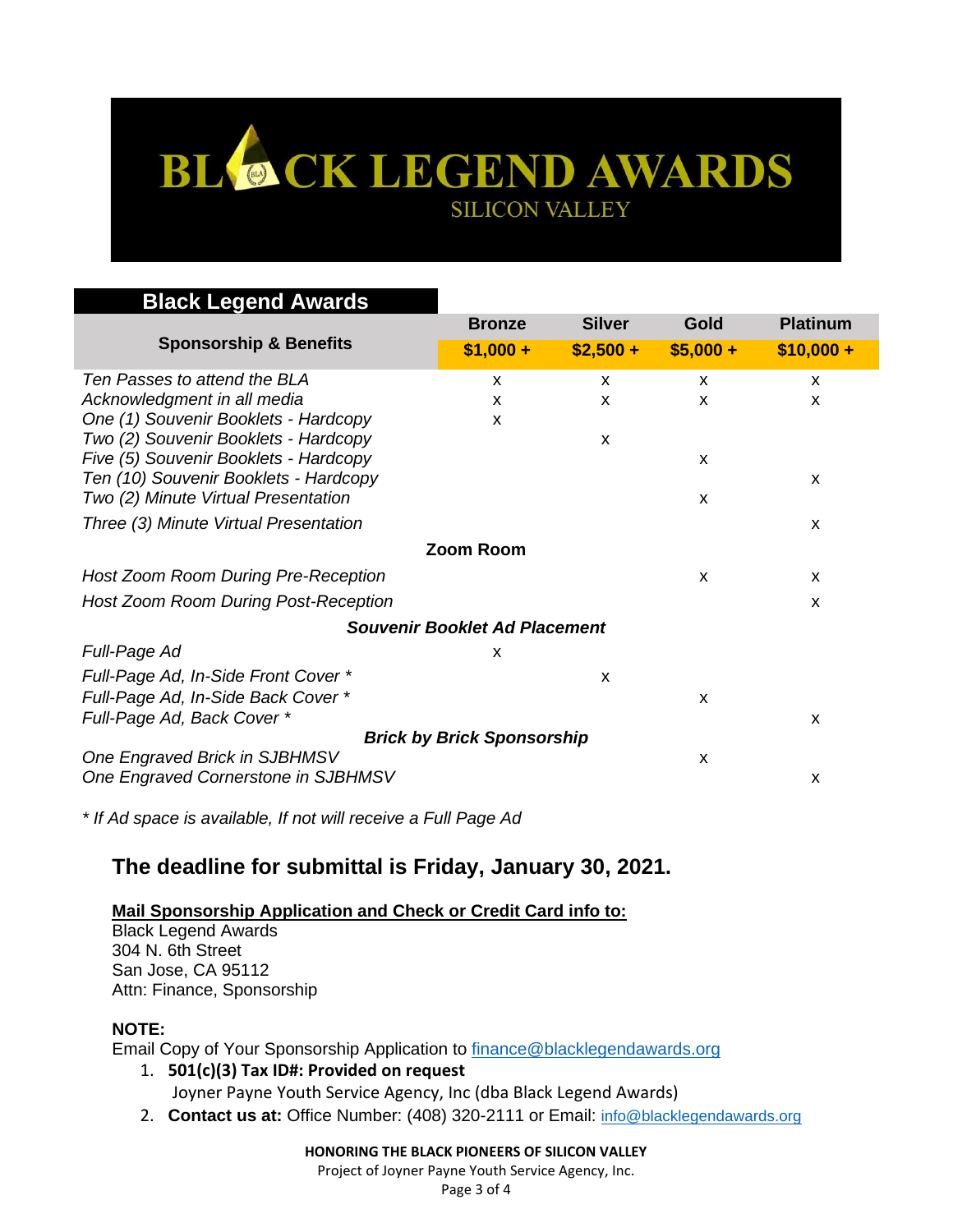## BL & CK LEGEND AWARDS **SILICON VALLEY**

| <b>Black Legend Awards</b>                                                   |               |               |                           |                 |  |
|------------------------------------------------------------------------------|---------------|---------------|---------------------------|-----------------|--|
|                                                                              | <b>Bronze</b> | <b>Silver</b> | Gold                      | <b>Platinum</b> |  |
| <b>Sponsorship &amp; Benefits</b>                                            | $$1,000 +$    | $$2,500 +$    | $$5,000 +$                | $$10,000 +$     |  |
| Ten Passes to attend the BLA                                                 | X             | X             | $\boldsymbol{\mathsf{x}}$ | X               |  |
| Acknowledgment in all media                                                  | X             | X             | X                         | X               |  |
| One (1) Souvenir Booklets - Hardcopy                                         | X             |               |                           |                 |  |
| Two (2) Souvenir Booklets - Hardcopy                                         |               | X             |                           |                 |  |
| Five (5) Souvenir Booklets - Hardcopy                                        |               |               | X                         |                 |  |
| Ten (10) Souvenir Booklets - Hardcopy<br>Two (2) Minute Virtual Presentation |               |               | X                         | x               |  |
|                                                                              |               |               |                           |                 |  |
| Three (3) Minute Virtual Presentation                                        |               |               |                           | X               |  |
| <b>Zoom Room</b>                                                             |               |               |                           |                 |  |
| Host Zoom Room During Pre-Reception                                          |               |               | X                         | X               |  |
| Host Zoom Room During Post-Reception                                         |               |               |                           | X               |  |
| <b>Souvenir Booklet Ad Placement</b>                                         |               |               |                           |                 |  |
| Full-Page Ad                                                                 | X             |               |                           |                 |  |
| Full-Page Ad, In-Side Front Cover *                                          |               | X             |                           |                 |  |
| Full-Page Ad, In-Side Back Cover *                                           |               |               | X                         |                 |  |
| Full-Page Ad, Back Cover *                                                   |               |               |                           | X               |  |
| <b>Brick by Brick Sponsorship</b>                                            |               |               |                           |                 |  |
| One Engraved Brick in SJBHMSV                                                |               |               | X                         |                 |  |
| One Engraved Cornerstone in SJBHMSV                                          |               |               |                           | X               |  |

*\* If Ad space is available, If not will receive a Full Page Ad*

### **The deadline for submittal is Friday, January 30, 2021.**

#### **Mail Sponsorship Application and Check or Credit Card info to:**

Black Legend Awards 304 N. 6th Street San Jose, CA 95112 Attn: Finance, Sponsorship

#### **NOTE:**

Email Copy of Your Sponsorship Application to [finance@blacklegendawards.org](mailto:finance@blacklegendawards.org)

1. **501(c)(3) Tax ID#: Provided on request**

- Joyner Payne Youth Service Agency, Inc (dba Black Legend Awards)
- 2. **Contact us at:** Office Number: (408) 320-2111 or Email: [info@blacklegendawards.org](mailto:info@blacklegendawards.org)

#### **HONORING THE BLACK PIONEERS OF SILICON VALLEY**

Project of Joyner Payne Youth Service Agency, Inc.

Page 3 of 4